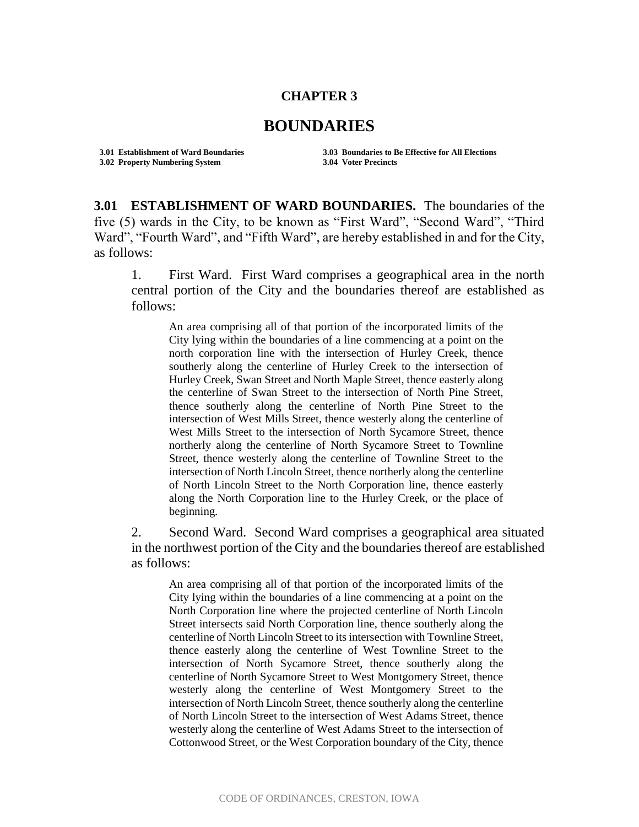## **CHAPTER 3**

## **BOUNDARIES**

**3.02 Property Numbering System 3.04 Voter Precincts**

**3.01 Establishment of Ward Boundaries 3.03 Boundaries to Be Effective for All Elections**

**3.01 ESTABLISHMENT OF WARD BOUNDARIES.** The boundaries of the five (5) wards in the City, to be known as "First Ward", "Second Ward", "Third Ward", "Fourth Ward", and "Fifth Ward", are hereby established in and for the City, as follows:

1. First Ward. First Ward comprises a geographical area in the north central portion of the City and the boundaries thereof are established as follows:

An area comprising all of that portion of the incorporated limits of the City lying within the boundaries of a line commencing at a point on the north corporation line with the intersection of Hurley Creek, thence southerly along the centerline of Hurley Creek to the intersection of Hurley Creek, Swan Street and North Maple Street, thence easterly along the centerline of Swan Street to the intersection of North Pine Street, thence southerly along the centerline of North Pine Street to the intersection of West Mills Street, thence westerly along the centerline of West Mills Street to the intersection of North Sycamore Street, thence northerly along the centerline of North Sycamore Street to Townline Street, thence westerly along the centerline of Townline Street to the intersection of North Lincoln Street, thence northerly along the centerline of North Lincoln Street to the North Corporation line, thence easterly along the North Corporation line to the Hurley Creek, or the place of beginning.

2. Second Ward. Second Ward comprises a geographical area situated in the northwest portion of the City and the boundaries thereof are established as follows:

An area comprising all of that portion of the incorporated limits of the City lying within the boundaries of a line commencing at a point on the North Corporation line where the projected centerline of North Lincoln Street intersects said North Corporation line, thence southerly along the centerline of North Lincoln Street to its intersection with Townline Street, thence easterly along the centerline of West Townline Street to the intersection of North Sycamore Street, thence southerly along the centerline of North Sycamore Street to West Montgomery Street, thence westerly along the centerline of West Montgomery Street to the intersection of North Lincoln Street, thence southerly along the centerline of North Lincoln Street to the intersection of West Adams Street, thence westerly along the centerline of West Adams Street to the intersection of Cottonwood Street, or the West Corporation boundary of the City, thence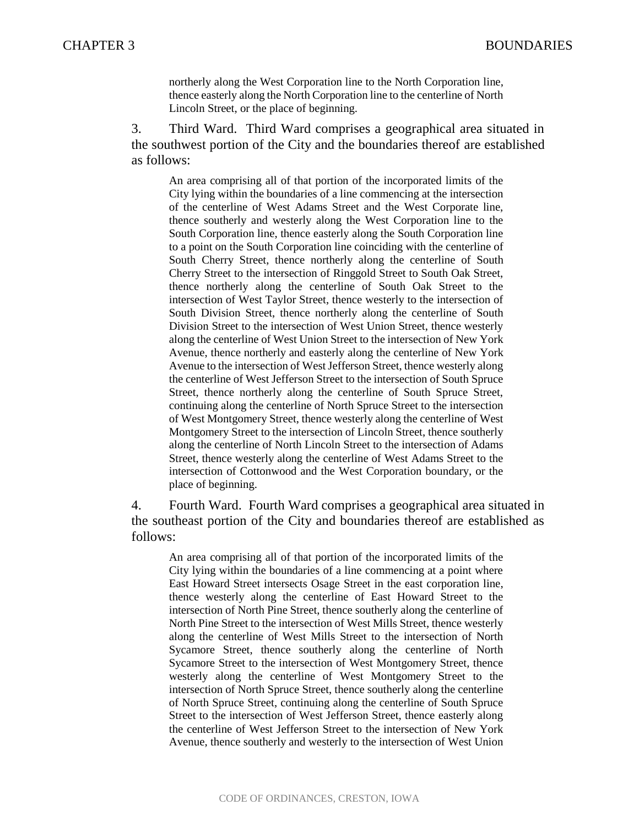northerly along the West Corporation line to the North Corporation line, thence easterly along the North Corporation line to the centerline of North Lincoln Street, or the place of beginning.

3. Third Ward. Third Ward comprises a geographical area situated in the southwest portion of the City and the boundaries thereof are established as follows:

An area comprising all of that portion of the incorporated limits of the City lying within the boundaries of a line commencing at the intersection of the centerline of West Adams Street and the West Corporate line, thence southerly and westerly along the West Corporation line to the South Corporation line, thence easterly along the South Corporation line to a point on the South Corporation line coinciding with the centerline of South Cherry Street, thence northerly along the centerline of South Cherry Street to the intersection of Ringgold Street to South Oak Street, thence northerly along the centerline of South Oak Street to the intersection of West Taylor Street, thence westerly to the intersection of South Division Street, thence northerly along the centerline of South Division Street to the intersection of West Union Street, thence westerly along the centerline of West Union Street to the intersection of New York Avenue, thence northerly and easterly along the centerline of New York Avenue to the intersection of West Jefferson Street, thence westerly along the centerline of West Jefferson Street to the intersection of South Spruce Street, thence northerly along the centerline of South Spruce Street, continuing along the centerline of North Spruce Street to the intersection of West Montgomery Street, thence westerly along the centerline of West Montgomery Street to the intersection of Lincoln Street, thence southerly along the centerline of North Lincoln Street to the intersection of Adams Street, thence westerly along the centerline of West Adams Street to the intersection of Cottonwood and the West Corporation boundary, or the place of beginning.

4. Fourth Ward. Fourth Ward comprises a geographical area situated in the southeast portion of the City and boundaries thereof are established as follows:

An area comprising all of that portion of the incorporated limits of the City lying within the boundaries of a line commencing at a point where East Howard Street intersects Osage Street in the east corporation line, thence westerly along the centerline of East Howard Street to the intersection of North Pine Street, thence southerly along the centerline of North Pine Street to the intersection of West Mills Street, thence westerly along the centerline of West Mills Street to the intersection of North Sycamore Street, thence southerly along the centerline of North Sycamore Street to the intersection of West Montgomery Street, thence westerly along the centerline of West Montgomery Street to the intersection of North Spruce Street, thence southerly along the centerline of North Spruce Street, continuing along the centerline of South Spruce Street to the intersection of West Jefferson Street, thence easterly along the centerline of West Jefferson Street to the intersection of New York Avenue, thence southerly and westerly to the intersection of West Union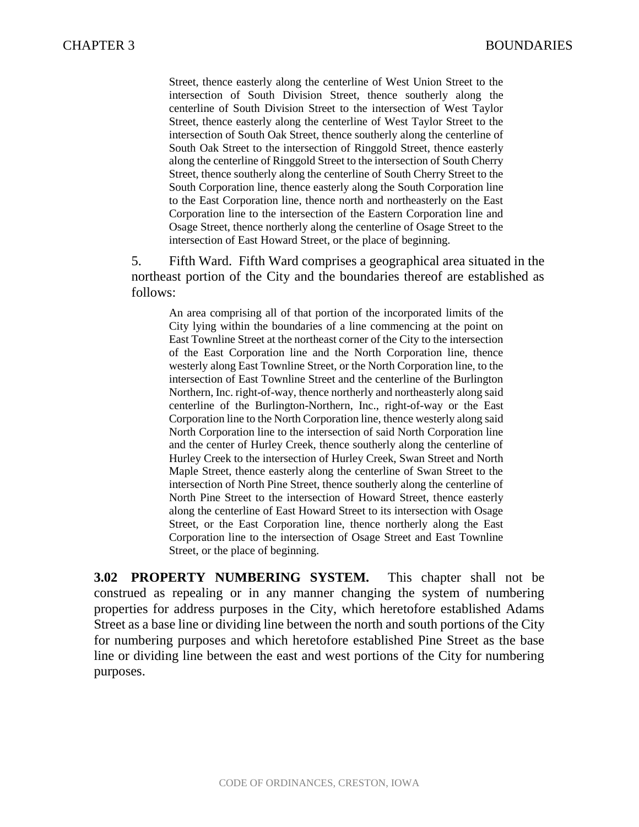Street, thence easterly along the centerline of West Union Street to the intersection of South Division Street, thence southerly along the centerline of South Division Street to the intersection of West Taylor Street, thence easterly along the centerline of West Taylor Street to the intersection of South Oak Street, thence southerly along the centerline of South Oak Street to the intersection of Ringgold Street, thence easterly along the centerline of Ringgold Street to the intersection of South Cherry Street, thence southerly along the centerline of South Cherry Street to the South Corporation line, thence easterly along the South Corporation line to the East Corporation line, thence north and northeasterly on the East Corporation line to the intersection of the Eastern Corporation line and Osage Street, thence northerly along the centerline of Osage Street to the intersection of East Howard Street, or the place of beginning.

5. Fifth Ward. Fifth Ward comprises a geographical area situated in the northeast portion of the City and the boundaries thereof are established as follows:

An area comprising all of that portion of the incorporated limits of the City lying within the boundaries of a line commencing at the point on East Townline Street at the northeast corner of the City to the intersection of the East Corporation line and the North Corporation line, thence westerly along East Townline Street, or the North Corporation line, to the intersection of East Townline Street and the centerline of the Burlington Northern, Inc. right-of-way, thence northerly and northeasterly along said centerline of the Burlington-Northern, Inc., right-of-way or the East Corporation line to the North Corporation line, thence westerly along said North Corporation line to the intersection of said North Corporation line and the center of Hurley Creek, thence southerly along the centerline of Hurley Creek to the intersection of Hurley Creek, Swan Street and North Maple Street, thence easterly along the centerline of Swan Street to the intersection of North Pine Street, thence southerly along the centerline of North Pine Street to the intersection of Howard Street, thence easterly along the centerline of East Howard Street to its intersection with Osage Street, or the East Corporation line, thence northerly along the East Corporation line to the intersection of Osage Street and East Townline Street, or the place of beginning.

**3.02 PROPERTY NUMBERING SYSTEM.** This chapter shall not be construed as repealing or in any manner changing the system of numbering properties for address purposes in the City, which heretofore established Adams Street as a base line or dividing line between the north and south portions of the City for numbering purposes and which heretofore established Pine Street as the base line or dividing line between the east and west portions of the City for numbering purposes.